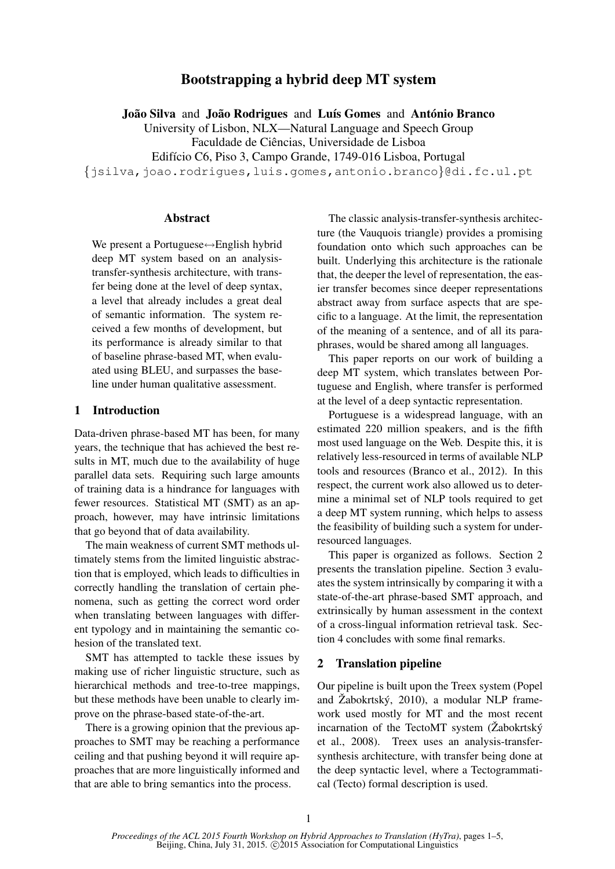# Bootstrapping a hybrid deep MT system

João Silva and João Rodrigues and Luís Gomes and António Branco

University of Lisbon, NLX—Natural Language and Speech Group

Faculdade de Ciências, Universidade de Lisboa

Edifício C6, Piso 3, Campo Grande, 1749-016 Lisboa, Portugal

{jsilva,joao.rodrigues,luis.gomes,antonio.branco}@di.fc.ul.pt

#### **Abstract**

We present a Portuguese⇔English hybrid deep MT system based on an analysistransfer-synthesis architecture, with transfer being done at the level of deep syntax, a level that already includes a great deal of semantic information. The system received a few months of development, but its performance is already similar to that of baseline phrase-based MT, when evaluated using BLEU, and surpasses the baseline under human qualitative assessment.

## 1 Introduction

Data-driven phrase-based MT has been, for many years, the technique that has achieved the best results in MT, much due to the availability of huge parallel data sets. Requiring such large amounts of training data is a hindrance for languages with fewer resources. Statistical MT (SMT) as an approach, however, may have intrinsic limitations that go beyond that of data availability.

The main weakness of current SMT methods ultimately stems from the limited linguistic abstraction that is employed, which leads to difficulties in correctly handling the translation of certain phenomena, such as getting the correct word order when translating between languages with different typology and in maintaining the semantic cohesion of the translated text.

SMT has attempted to tackle these issues by making use of richer linguistic structure, such as hierarchical methods and tree-to-tree mappings, but these methods have been unable to clearly improve on the phrase-based state-of-the-art.

There is a growing opinion that the previous approaches to SMT may be reaching a performance ceiling and that pushing beyond it will require approaches that are more linguistically informed and that are able to bring semantics into the process.

The classic analysis-transfer-synthesis architecture (the Vauquois triangle) provides a promising foundation onto which such approaches can be built. Underlying this architecture is the rationale that, the deeper the level of representation, the easier transfer becomes since deeper representations abstract away from surface aspects that are specific to a language. At the limit, the representation of the meaning of a sentence, and of all its paraphrases, would be shared among all languages.

This paper reports on our work of building a deep MT system, which translates between Portuguese and English, where transfer is performed at the level of a deep syntactic representation.

Portuguese is a widespread language, with an estimated 220 million speakers, and is the fifth most used language on the Web. Despite this, it is relatively less-resourced in terms of available NLP tools and resources (Branco et al., 2012). In this respect, the current work also allowed us to determine a minimal set of NLP tools required to get a deep MT system running, which helps to assess the feasibility of building such a system for underresourced languages.

This paper is organized as follows. Section 2 presents the translation pipeline. Section 3 evaluates the system intrinsically by comparing it with a state-of-the-art phrase-based SMT approach, and extrinsically by human assessment in the context of a cross-lingual information retrieval task. Section 4 concludes with some final remarks.

## 2 Translation pipeline

Our pipeline is built upon the Treex system (Popel and Žabokrtský, 2010), a modular NLP framework used mostly for MT and the most recent incarnation of the TectoMT system  $(Zabokrtský)$ et al., 2008). Treex uses an analysis-transfersynthesis architecture, with transfer being done at the deep syntactic level, where a Tectogrammatical (Tecto) formal description is used.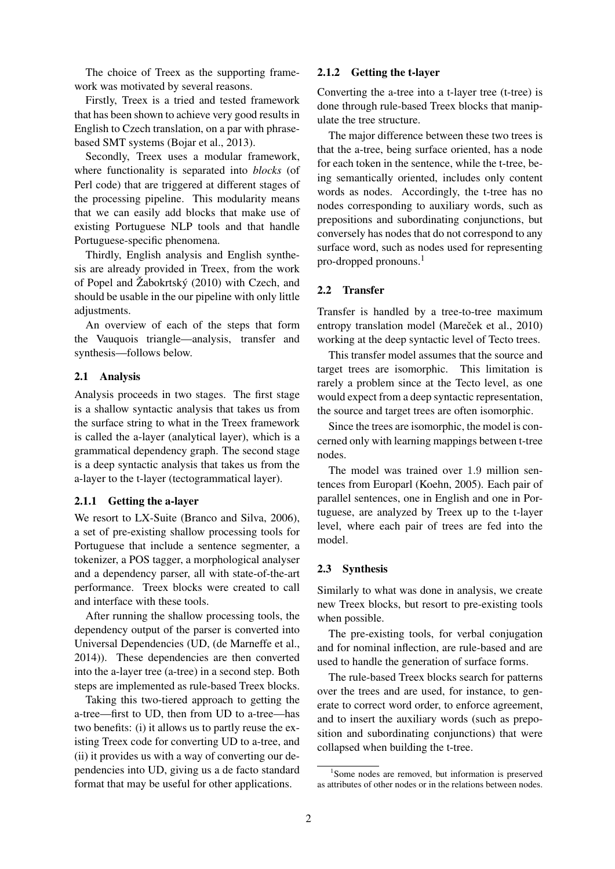The choice of Treex as the supporting framework was motivated by several reasons.

Firstly, Treex is a tried and tested framework that has been shown to achieve very good results in English to Czech translation, on a par with phrasebased SMT systems (Bojar et al., 2013).

Secondly, Treex uses a modular framework, where functionality is separated into *blocks* (of Perl code) that are triggered at different stages of the processing pipeline. This modularity means that we can easily add blocks that make use of existing Portuguese NLP tools and that handle Portuguese-specific phenomena.

Thirdly, English analysis and English synthesis are already provided in Treex, from the work of Popel and  $\check{Z}$ abokrtský (2010) with Czech, and should be usable in the our pipeline with only little adjustments.

An overview of each of the steps that form the Vauquois triangle—analysis, transfer and synthesis—follows below.

#### 2.1 Analysis

Analysis proceeds in two stages. The first stage is a shallow syntactic analysis that takes us from the surface string to what in the Treex framework is called the a-layer (analytical layer), which is a grammatical dependency graph. The second stage is a deep syntactic analysis that takes us from the a-layer to the t-layer (tectogrammatical layer).

#### 2.1.1 Getting the a-layer

We resort to LX-Suite (Branco and Silva, 2006), a set of pre-existing shallow processing tools for Portuguese that include a sentence segmenter, a tokenizer, a POS tagger, a morphological analyser and a dependency parser, all with state-of-the-art performance. Treex blocks were created to call and interface with these tools.

After running the shallow processing tools, the dependency output of the parser is converted into Universal Dependencies (UD, (de Marneffe et al., 2014)). These dependencies are then converted into the a-layer tree (a-tree) in a second step. Both steps are implemented as rule-based Treex blocks.

Taking this two-tiered approach to getting the a-tree—first to UD, then from UD to a-tree—has two benefits: (i) it allows us to partly reuse the existing Treex code for converting UD to a-tree, and (ii) it provides us with a way of converting our dependencies into UD, giving us a de facto standard format that may be useful for other applications.

## 2.1.2 Getting the t-layer

Converting the a-tree into a t-layer tree (t-tree) is done through rule-based Treex blocks that manipulate the tree structure.

The major difference between these two trees is that the a-tree, being surface oriented, has a node for each token in the sentence, while the t-tree, being semantically oriented, includes only content words as nodes. Accordingly, the t-tree has no nodes corresponding to auxiliary words, such as prepositions and subordinating conjunctions, but conversely has nodes that do not correspond to any surface word, such as nodes used for representing pro-dropped pronouns.<sup>1</sup>

## 2.2 Transfer

Transfer is handled by a tree-to-tree maximum entropy translation model (Mareček et al., 2010) working at the deep syntactic level of Tecto trees.

This transfer model assumes that the source and target trees are isomorphic. This limitation is rarely a problem since at the Tecto level, as one would expect from a deep syntactic representation, the source and target trees are often isomorphic.

Since the trees are isomorphic, the model is concerned only with learning mappings between t-tree nodes.

The model was trained over 1.9 million sentences from Europarl (Koehn, 2005). Each pair of parallel sentences, one in English and one in Portuguese, are analyzed by Treex up to the t-layer level, where each pair of trees are fed into the model.

#### 2.3 Synthesis

Similarly to what was done in analysis, we create new Treex blocks, but resort to pre-existing tools when possible.

The pre-existing tools, for verbal conjugation and for nominal inflection, are rule-based and are used to handle the generation of surface forms.

The rule-based Treex blocks search for patterns over the trees and are used, for instance, to generate to correct word order, to enforce agreement, and to insert the auxiliary words (such as preposition and subordinating conjunctions) that were collapsed when building the t-tree.

<sup>&</sup>lt;sup>1</sup>Some nodes are removed, but information is preserved as attributes of other nodes or in the relations between nodes.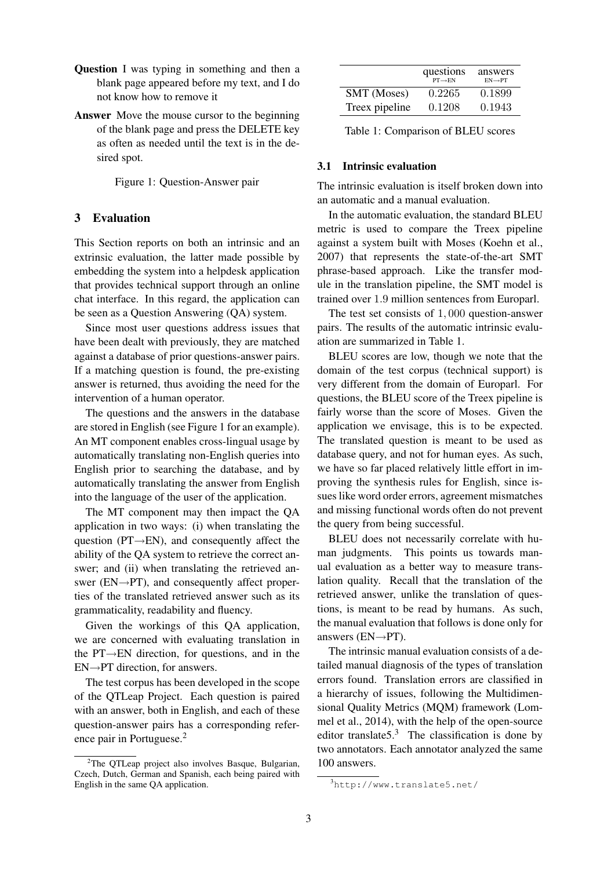- Question I was typing in something and then a blank page appeared before my text, and I do not know how to remove it
- Answer Move the mouse cursor to the beginning of the blank page and press the DELETE key as often as needed until the text is in the desired spot.

Figure 1: Question-Answer pair

# 3 Evaluation

This Section reports on both an intrinsic and an extrinsic evaluation, the latter made possible by embedding the system into a helpdesk application that provides technical support through an online chat interface. In this regard, the application can be seen as a Question Answering (QA) system.

Since most user questions address issues that have been dealt with previously, they are matched against a database of prior questions-answer pairs. If a matching question is found, the pre-existing answer is returned, thus avoiding the need for the intervention of a human operator.

The questions and the answers in the database are stored in English (see Figure 1 for an example). An MT component enables cross-lingual usage by automatically translating non-English queries into English prior to searching the database, and by automatically translating the answer from English into the language of the user of the application.

The MT component may then impact the QA application in two ways: (i) when translating the question ( $PT \rightarrow EN$ ), and consequently affect the ability of the QA system to retrieve the correct answer; and (ii) when translating the retrieved answer ( $EN \rightarrow PT$ ), and consequently affect properties of the translated retrieved answer such as its grammaticality, readability and fluency.

Given the workings of this QA application, we are concerned with evaluating translation in the PT→EN direction, for questions, and in the  $EN \rightarrow PT$  direction, for answers.

The test corpus has been developed in the scope of the QTLeap Project. Each question is paired with an answer, both in English, and each of these question-answer pairs has a corresponding reference pair in Portuguese.<sup>2</sup>

|                    | questions<br>$PT \rightarrow EN$ | answers<br>$EN \rightarrow PT$ |
|--------------------|----------------------------------|--------------------------------|
| <b>SMT</b> (Moses) | 0.2265                           | 0.1899                         |
| Treex pipeline     | 0.1208                           | 0.1943                         |

Table 1: Comparison of BLEU scores

#### 3.1 Intrinsic evaluation

The intrinsic evaluation is itself broken down into an automatic and a manual evaluation.

In the automatic evaluation, the standard BLEU metric is used to compare the Treex pipeline against a system built with Moses (Koehn et al., 2007) that represents the state-of-the-art SMT phrase-based approach. Like the transfer module in the translation pipeline, the SMT model is trained over 1.9 million sentences from Europarl.

The test set consists of 1, 000 question-answer pairs. The results of the automatic intrinsic evaluation are summarized in Table 1.

BLEU scores are low, though we note that the domain of the test corpus (technical support) is very different from the domain of Europarl. For questions, the BLEU score of the Treex pipeline is fairly worse than the score of Moses. Given the application we envisage, this is to be expected. The translated question is meant to be used as database query, and not for human eyes. As such, we have so far placed relatively little effort in improving the synthesis rules for English, since issues like word order errors, agreement mismatches and missing functional words often do not prevent the query from being successful.

BLEU does not necessarily correlate with human judgments. This points us towards manual evaluation as a better way to measure translation quality. Recall that the translation of the retrieved answer, unlike the translation of questions, is meant to be read by humans. As such, the manual evaluation that follows is done only for answers ( $EN \rightarrow PT$ ).

The intrinsic manual evaluation consists of a detailed manual diagnosis of the types of translation errors found. Translation errors are classified in a hierarchy of issues, following the Multidimensional Quality Metrics (MQM) framework (Lommel et al., 2014), with the help of the open-source editor translate  $5.3$  The classification is done by two annotators. Each annotator analyzed the same 100 answers.

 $2$ The QTLeap project also involves Basque, Bulgarian, Czech, Dutch, German and Spanish, each being paired with English in the same QA application.

<sup>3</sup>http://www.translate5.net/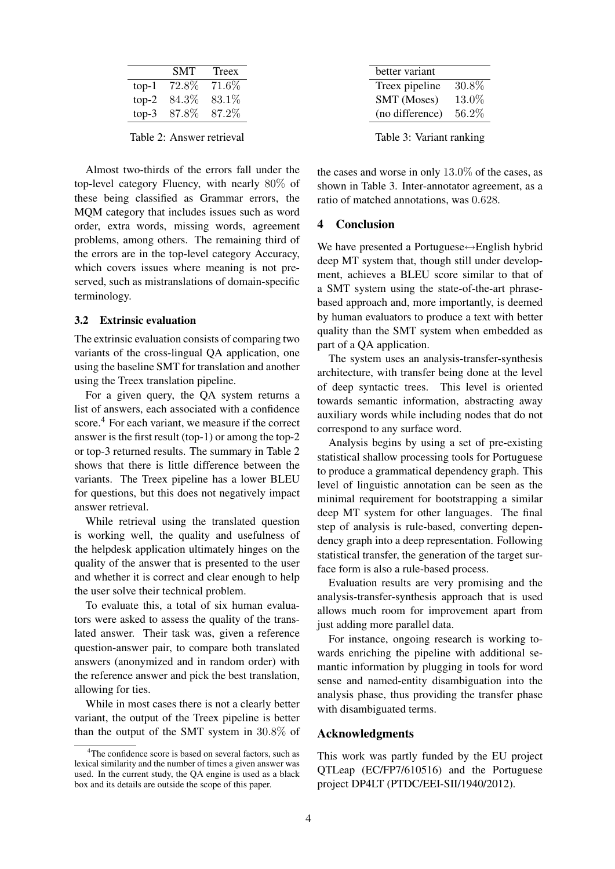|         | <b>SMT</b> | Treex |
|---------|------------|-------|
| $top-1$ | $72.8\%$   | 71.6% |
| $top-2$ | $84.3\%$   | 83.1% |
| $top-3$ | 87.8%      | 87.2% |
|         |            |       |

Table 2: Answer retrieval

Almost two-thirds of the errors fall under the top-level category Fluency, with nearly 80% of these being classified as Grammar errors, the MQM category that includes issues such as word order, extra words, missing words, agreement problems, among others. The remaining third of the errors are in the top-level category Accuracy, which covers issues where meaning is not preserved, such as mistranslations of domain-specific terminology.

#### 3.2 Extrinsic evaluation

The extrinsic evaluation consists of comparing two variants of the cross-lingual QA application, one using the baseline SMT for translation and another using the Treex translation pipeline.

For a given query, the QA system returns a list of answers, each associated with a confidence score.<sup>4</sup> For each variant, we measure if the correct answer is the first result (top-1) or among the top-2 or top-3 returned results. The summary in Table 2 shows that there is little difference between the variants. The Treex pipeline has a lower BLEU for questions, but this does not negatively impact answer retrieval.

While retrieval using the translated question is working well, the quality and usefulness of the helpdesk application ultimately hinges on the quality of the answer that is presented to the user and whether it is correct and clear enough to help the user solve their technical problem.

To evaluate this, a total of six human evaluators were asked to assess the quality of the translated answer. Their task was, given a reference question-answer pair, to compare both translated answers (anonymized and in random order) with the reference answer and pick the best translation, allowing for ties.

While in most cases there is not a clearly better variant, the output of the Treex pipeline is better than the output of the SMT system in 30.8% of

| better variant  |       |
|-----------------|-------|
| Treex pipeline  | 30.8% |
| SMT (Moses)     | 13.0% |
| (no difference) | 56.2% |
|                 |       |

Table 3: Variant ranking

the cases and worse in only 13.0% of the cases, as shown in Table 3. Inter-annotator agreement, as a ratio of matched annotations, was 0.628.

## 4 Conclusion

We have presented a Portuguese⇔English hybrid deep MT system that, though still under development, achieves a BLEU score similar to that of a SMT system using the state-of-the-art phrasebased approach and, more importantly, is deemed by human evaluators to produce a text with better quality than the SMT system when embedded as part of a QA application.

The system uses an analysis-transfer-synthesis architecture, with transfer being done at the level of deep syntactic trees. This level is oriented towards semantic information, abstracting away auxiliary words while including nodes that do not correspond to any surface word.

Analysis begins by using a set of pre-existing statistical shallow processing tools for Portuguese to produce a grammatical dependency graph. This level of linguistic annotation can be seen as the minimal requirement for bootstrapping a similar deep MT system for other languages. The final step of analysis is rule-based, converting dependency graph into a deep representation. Following statistical transfer, the generation of the target surface form is also a rule-based process.

Evaluation results are very promising and the analysis-transfer-synthesis approach that is used allows much room for improvement apart from just adding more parallel data.

For instance, ongoing research is working towards enriching the pipeline with additional semantic information by plugging in tools for word sense and named-entity disambiguation into the analysis phase, thus providing the transfer phase with disambiguated terms.

#### Acknowledgments

This work was partly funded by the EU project QTLeap (EC/FP7/610516) and the Portuguese project DP4LT (PTDC/EEI-SII/1940/2012).

 $4$ The confidence score is based on several factors, such as lexical similarity and the number of times a given answer was used. In the current study, the QA engine is used as a black box and its details are outside the scope of this paper.